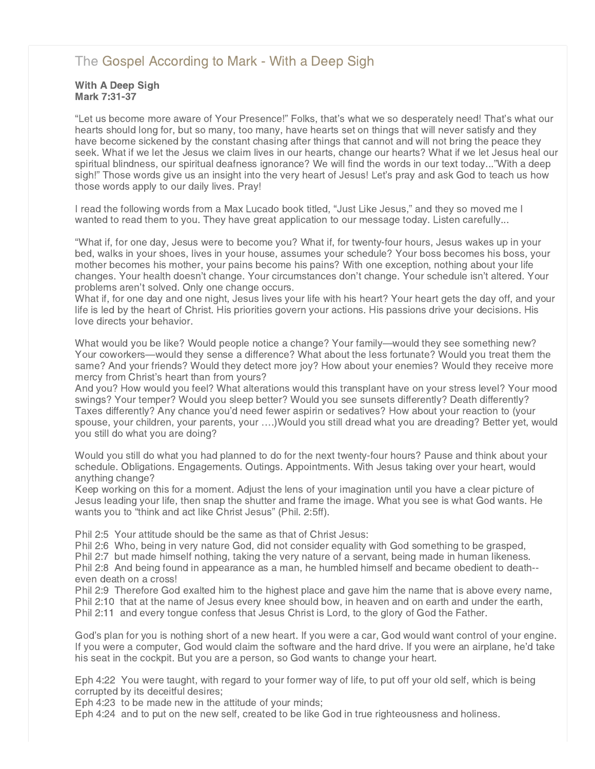# [The Gospel According to Mark - With a Deep Sigh](http://www.northshorechurch.net/resources/sermons/sermon-notes/435-the-gospel-according-to-mark-with-a-deep-sigh)

### With A Deep Sigh Mark 7:31-37

"Let us become more aware of Your Presence!" Folks, that's what we so desperately need! That's what our hearts should long for, but so many, too many, have hearts set on things that will never satisfy and they have become sickened by the constant chasing after things that cannot and will not bring the peace they seek. What if we let the Jesus we claim lives in our hearts, change our hearts? What if we let Jesus heal our spiritual blindness, our spiritual deafness ignorance? We will find the words in our text today..."With a deep sigh!" Those words give us an insight into the very heart of Jesus! Let's pray and ask God to teach us how those words apply to our daily lives. Pray!

I read the following words from a Max Lucado book titled, "Just Like Jesus," and they so moved me I wanted to read them to you. They have great application to our message today. Listen carefully...

"What if, for one day, Jesus were to become you? What if, for twenty-four hours, Jesus wakes up in your bed, walks in your shoes, lives in your house, assumes your schedule? Your boss becomes his boss, your mother becomes his mother, your pains become his pains? With one exception, nothing about your life changes. Your health doesn't change. Your circumstances don't change. Your schedule isn't altered. Your problems aren't solved. Only one change occurs.

What if, for one day and one night, Jesus lives your life with his heart? Your heart gets the day off, and your life is led by the heart of Christ. His priorities govern your actions. His passions drive your decisions. His love directs your behavior.

What would you be like? Would people notice a change? Your family—would they see something new? Your coworkers—would they sense a difference? What about the less fortunate? Would you treat them the same? And your friends? Would they detect more joy? How about your enemies? Would they receive more mercy from Christ's heart than from yours?

And you? How would you feel? What alterations would this transplant have on your stress level? Your mood swings? Your temper? Would you sleep better? Would you see sunsets differently? Death differently? Taxes differently? Any chance you'd need fewer aspirin or sedatives? How about your reaction to (your spouse, your children, your parents, your ….)Would you still dread what you are dreading? Better yet, would you still do what you are doing?

Would you still do what you had planned to do for the next twenty-four hours? Pause and think about your schedule. Obligations. Engagements. Outings. Appointments. With Jesus taking over your heart, would anything change?

Keep working on this for a moment. Adjust the lens of your imagination until you have a clear picture of Jesus leading your life, then snap the shutter and frame the image. What you see is what God wants. He wants you to "think and act like Christ Jesus" (Phil. 2:5ff).

Phil 2:5 Your attitude should be the same as that of Christ Jesus:

Phil 2:6 Who, being in very nature God, did not consider equality with God something to be grasped,

Phil 2:7 but made himself nothing, taking the very nature of a servant, being made in human likeness. Phil 2:8 And being found in appearance as a man, he humbled himself and became obedient to death- even death on a cross!

Phil 2:9 Therefore God exalted him to the highest place and gave him the name that is above every name, Phil 2:10 that at the name of Jesus every knee should bow, in heaven and on earth and under the earth, Phil 2:11 and every tongue confess that Jesus Christ is Lord, to the glory of God the Father.

God's plan for you is nothing short of a new heart. If you were a car, God would want control of your engine. If you were a computer, God would claim the software and the hard drive. If you were an airplane, he'd take his seat in the cockpit. But you are a person, so God wants to change your heart.

Eph 4:22 You were taught, with regard to your former way of life, to put off your old self, which is being corrupted by its deceitful desires;

Eph 4:23 to be made new in the attitude of your minds;

Eph 4:24 and to put on the new self, created to be like God in true righteousness and holiness.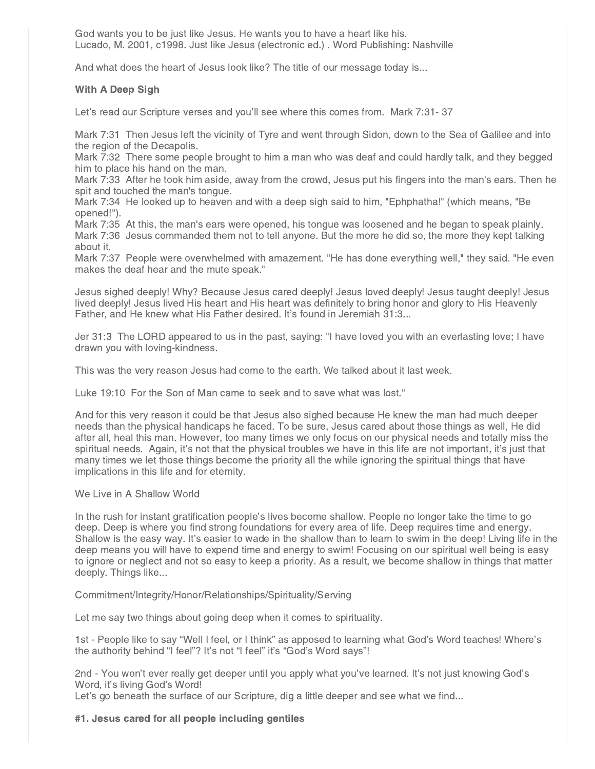God wants you to be just like Jesus. He wants you to have a heart like his. Lucado, M. 2001, c1998. Just like Jesus (electronic ed.) . Word Publishing: Nashville

And what does the heart of Jesus look like? The title of our message today is...

## With A Deep Sigh

Let's read our Scripture verses and you'll see where this comes from. Mark 7:31- 37

Mark 7:31 Then Jesus left the vicinity of Tyre and went through Sidon, down to the Sea of Galilee and into the region of the Decapolis.

Mark 7:32 There some people brought to him a man who was deaf and could hardly talk, and they begged him to place his hand on the man.

Mark 7:33 After he took him aside, away from the crowd, Jesus put his fingers into the man's ears. Then he spit and touched the man's tongue.

Mark 7:34 He looked up to heaven and with a deep sigh said to him, "Ephphatha!" (which means, "Be opened!").

Mark 7:35 At this, the man's ears were opened, his tongue was loosened and he began to speak plainly. Mark 7:36 Jesus commanded them not to tell anyone. But the more he did so, the more they kept talking about it.

Mark 7:37 People were overwhelmed with amazement. "He has done everything well," they said. "He even makes the deaf hear and the mute speak."

Jesus sighed deeply! Why? Because Jesus cared deeply! Jesus loved deeply! Jesus taught deeply! Jesus lived deeply! Jesus lived His heart and His heart was definitely to bring honor and glory to His Heavenly Father, and He knew what His Father desired. It's found in Jeremiah 31:3...

Jer 31:3 The LORD appeared to us in the past, saying: "I have loved you with an everlasting love; I have drawn you with loving-kindness.

This was the very reason Jesus had come to the earth. We talked about it last week.

Luke 19:10 For the Son of Man came to seek and to save what was lost."

And for this very reason it could be that Jesus also sighed because He knew the man had much deeper needs than the physical handicaps he faced. To be sure, Jesus cared about those things as well, He did after all, heal this man. However, too many times we only focus on our physical needs and totally miss the spiritual needs. Again, it's not that the physical troubles we have in this life are not important, it's just that many times we let those things become the priority all the while ignoring the spiritual things that have implications in this life and for eternity.

### We Live in A Shallow World

In the rush for instant gratification people's lives become shallow. People no longer take the time to go deep. Deep is where you find strong foundations for every area of life. Deep requires time and energy. Shallow is the easy way. It's easier to wade in the shallow than to learn to swim in the deep! Living life in the deep means you will have to expend time and energy to swim! Focusing on our spiritual well being is easy to ignore or neglect and not so easy to keep a priority. As a result, we become shallow in things that matter deeply. Things like...

### Commitment/Integrity/Honor/Relationships/Spirituality/Serving

Let me say two things about going deep when it comes to spirituality.

1st - People like to say "Well I feel, or I think" as apposed to learning what God's Word teaches! Where's the authority behind "I feel"? It's not "I feel" it's "God's Word says"!

2nd - You won't ever really get deeper until you apply what you've learned. It's not just knowing God's Word, it's living God's Word!

Let's go beneath the surface of our Scripture, dig a little deeper and see what we find...

### #1. Jesus cared for all people including gentiles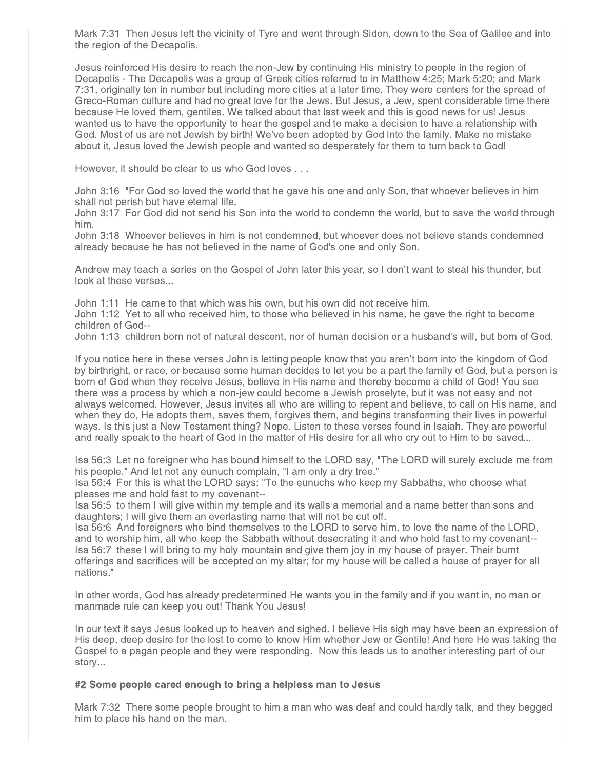Mark 7:31 Then Jesus left the vicinity of Tyre and went through Sidon, down to the Sea of Galilee and into the region of the Decapolis.

Jesus reinforced His desire to reach the non-Jew by continuing His ministry to people in the region of Decapolis - The Decapolis was a group of Greek cities referred to in Matthew 4:25; Mark 5:20; and Mark 7:31, originally ten in number but including more cities at a later time. They were centers for the spread of Greco-Roman culture and had no great love for the Jews. But Jesus, a Jew, spent considerable time there because He loved them, gentiles. We talked about that last week and this is good news for us! Jesus wanted us to have the opportunity to hear the gospel and to make a decision to have a relationship with God. Most of us are not Jewish by birth! We've been adopted by God into the family. Make no mistake about it, Jesus loved the Jewish people and wanted so desperately for them to turn back to God!

However, it should be clear to us who God loves . . .

John 3:16 "For God so loved the world that he gave his one and only Son, that whoever believes in him shall not perish but have eternal life.

John 3:17 For God did not send his Son into the world to condemn the world, but to save the world through him.

John 3:18 Whoever believes in him is not condemned, but whoever does not believe stands condemned already because he has not believed in the name of God's one and only Son.

Andrew may teach a series on the Gospel of John later this year, so I don't want to steal his thunder, but look at these verses...

John 1:11 He came to that which was his own, but his own did not receive him.

John 1:12 Yet to all who received him, to those who believed in his name, he gave the right to become children of God--

John 1:13 children born not of natural descent, nor of human decision or a husband's will, but born of God.

If you notice here in these verses John is letting people know that you aren't born into the kingdom of God by birthright, or race, or because some human decides to let you be a part the family of God, but a person is born of God when they receive Jesus, believe in His name and thereby become a child of God! You see there was a process by which a non-jew could become a Jewish proselyte, but it was not easy and not always welcomed. However, Jesus invites all who are willing to repent and believe, to call on His name, and when they do, He adopts them, saves them, forgives them, and begins transforming their lives in powerful ways. Is this just a New Testament thing? Nope. Listen to these verses found in Isaiah. They are powerful and really speak to the heart of God in the matter of His desire for all who cry out to Him to be saved...

Isa 56:3 Let no foreigner who has bound himself to the LORD say, "The LORD will surely exclude me from his people." And let not any eunuch complain, "I am only a dry tree."

Isa 56:4 For this is what the LORD says: "To the eunuchs who keep my Sabbaths, who choose what pleases me and hold fast to my covenant--

Isa 56:5 to them I will give within my temple and its walls a memorial and a name better than sons and daughters; I will give them an everlasting name that will not be cut off.

Isa 56:6 And foreigners who bind themselves to the LORD to serve him, to love the name of the LORD, and to worship him, all who keep the Sabbath without desecrating it and who hold fast to my covenant-- Isa 56:7 these I will bring to my holy mountain and give them joy in my house of prayer. Their burnt offerings and sacrifices will be accepted on my altar; for my house will be called a house of prayer for all nations."

In other words, God has already predetermined He wants you in the family and if you want in, no man or manmade rule can keep you out! Thank You Jesus!

In our text it says Jesus looked up to heaven and sighed. I believe His sigh may have been an expression of His deep, deep desire for the lost to come to know Him whether Jew or Gentile! And here He was taking the Gospel to a pagan people and they were responding. Now this leads us to another interesting part of our story...

### #2 Some people cared enough to bring a helpless man to Jesus

Mark 7:32 There some people brought to him a man who was deaf and could hardly talk, and they begged him to place his hand on the man.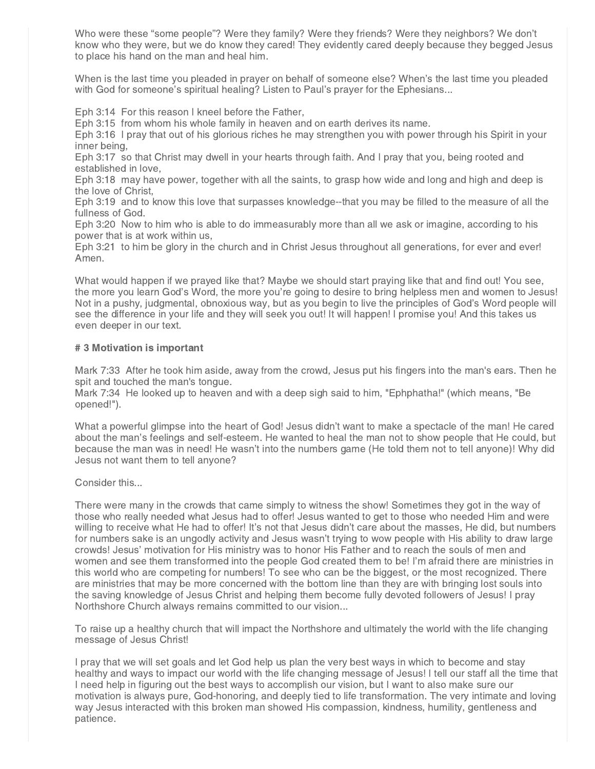Who were these "some people"? Were they family? Were they friends? Were they neighbors? We don't know who they were, but we do know they cared! They evidently cared deeply because they begged Jesus to place his hand on the man and heal him.

When is the last time you pleaded in prayer on behalf of someone else? When's the last time you pleaded with God for someone's spiritual healing? Listen to Paul's prayer for the Ephesians...

Eph 3:14 For this reason I kneel before the Father,

Eph 3:15 from whom his whole family in heaven and on earth derives its name.

Eph 3:16 I pray that out of his glorious riches he may strengthen you with power through his Spirit in your inner being,

Eph 3:17 so that Christ may dwell in your hearts through faith. And I pray that you, being rooted and established in love,

Eph 3:18 may have power, together with all the saints, to grasp how wide and long and high and deep is the love of Christ,

Eph 3:19 and to know this love that surpasses knowledge--that you may be filled to the measure of all the fullness of God.

Eph 3:20 Now to him who is able to do immeasurably more than all we ask or imagine, according to his power that is at work within us,

Eph 3:21 to him be glory in the church and in Christ Jesus throughout all generations, for ever and ever! Amen.

What would happen if we prayed like that? Maybe we should start praying like that and find out! You see, the more you learn God's Word, the more you're going to desire to bring helpless men and women to Jesus! Not in a pushy, judgmental, obnoxious way, but as you begin to live the principles of God's Word people will see the difference in your life and they will seek you out! It will happen! I promise you! And this takes us even deeper in our text.

#### # 3 Motivation is important

Mark 7:33 After he took him aside, away from the crowd, Jesus put his fingers into the man's ears. Then he spit and touched the man's tongue.

Mark 7:34 He looked up to heaven and with a deep sigh said to him, "Ephphatha!" (which means, "Be opened!").

What a powerful glimpse into the heart of God! Jesus didn't want to make a spectacle of the man! He cared about the man's feelings and self-esteem. He wanted to heal the man not to show people that He could, but because the man was in need! He wasn't into the numbers game (He told them not to tell anyone)! Why did Jesus not want them to tell anyone?

Consider this...

There were many in the crowds that came simply to witness the show! Sometimes they got in the way of those who really needed what Jesus had to offer! Jesus wanted to get to those who needed Him and were willing to receive what He had to offer! It's not that Jesus didn't care about the masses, He did, but numbers for numbers sake is an ungodly activity and Jesus wasn't trying to wow people with His ability to draw large crowds! Jesus' motivation for His ministry was to honor His Father and to reach the souls of men and women and see them transformed into the people God created them to be! I'm afraid there are ministries in this world who are competing for numbers! To see who can be the biggest, or the most recognized. There are ministries that may be more concerned with the bottom line than they are with bringing lost souls into the saving knowledge of Jesus Christ and helping them become fully devoted followers of Jesus! I pray Northshore Church always remains committed to our vision...

To raise up a healthy church that will impact the Northshore and ultimately the world with the life changing message of Jesus Christ!

I pray that we will set goals and let God help us plan the very best ways in which to become and stay healthy and ways to impact our world with the life changing message of Jesus! I tell our staff all the time that I need help in figuring out the best ways to accomplish our vision, but I want to also make sure our motivation is always pure, God-honoring, and deeply tied to life transformation. The very intimate and loving way Jesus interacted with this broken man showed His compassion, kindness, humility, gentleness and patience.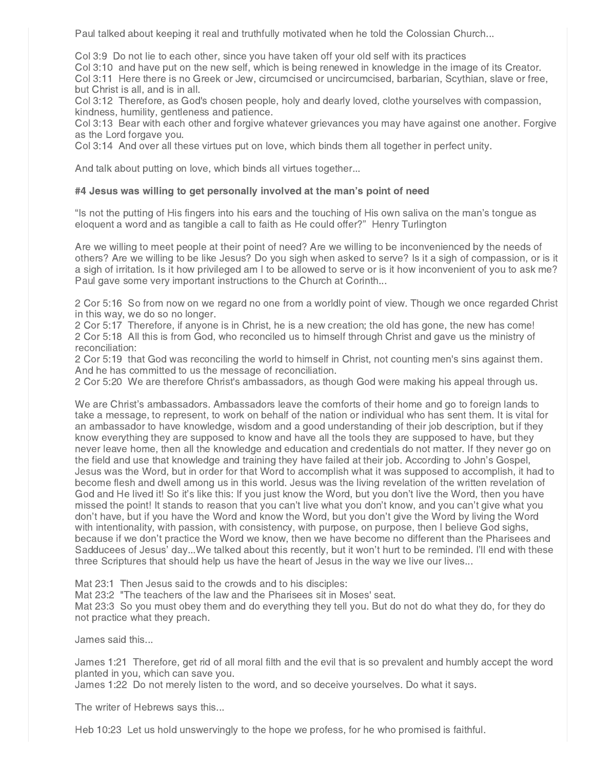Paul talked about keeping it real and truthfully motivated when he told the Colossian Church...

Col 3:9 Do not lie to each other, since you have taken off your old self with its practices

Col 3:10 and have put on the new self, which is being renewed in knowledge in the image of its Creator.

Col 3:11 Here there is no Greek or Jew, circumcised or uncircumcised, barbarian, Scythian, slave or free, but Christ is all, and is in all.

Col 3:12 Therefore, as God's chosen people, holy and dearly loved, clothe yourselves with compassion, kindness, humility, gentleness and patience.

Col 3:13 Bear with each other and forgive whatever grievances you may have against one another. Forgive as the Lord forgave you.

Col 3:14 And over all these virtues put on love, which binds them all together in perfect unity.

And talk about putting on love, which binds all virtues together...

### #4 Jesus was willing to get personally involved at the man's point of need

"Is not the putting of His fingers into his ears and the touching of His own saliva on the man's tongue as eloquent a word and as tangible a call to faith as He could offer?" Henry Turlington

Are we willing to meet people at their point of need? Are we willing to be inconvenienced by the needs of others? Are we willing to be like Jesus? Do you sigh when asked to serve? Is it a sigh of compassion, or is it a sigh of irritation. Is it how privileged am I to be allowed to serve or is it how inconvenient of you to ask me? Paul gave some very important instructions to the Church at Corinth...

2 Cor 5:16 So from now on we regard no one from a worldly point of view. Though we once regarded Christ in this way, we do so no longer.

2 Cor 5:17 Therefore, if anyone is in Christ, he is a new creation; the old has gone, the new has come! 2 Cor 5:18 All this is from God, who reconciled us to himself through Christ and gave us the ministry of reconciliation:

2 Cor 5:19 that God was reconciling the world to himself in Christ, not counting men's sins against them. And he has committed to us the message of reconciliation.

2 Cor 5:20 We are therefore Christ's ambassadors, as though God were making his appeal through us.

We are Christ's ambassadors. Ambassadors leave the comforts of their home and go to foreign lands to take a message, to represent, to work on behalf of the nation or individual who has sent them. It is vital for an ambassador to have knowledge, wisdom and a good understanding of their job description, but if they know everything they are supposed to know and have all the tools they are supposed to have, but they never leave home, then all the knowledge and education and credentials do not matter. If they never go on the field and use that knowledge and training they have failed at their job. According to John's Gospel, Jesus was the Word, but in order for that Word to accomplish what it was supposed to accomplish, it had to become flesh and dwell among us in this world. Jesus was the living revelation of the written revelation of God and He lived it! So it's like this: If you just know the Word, but you don't live the Word, then you have missed the point! It stands to reason that you can't live what you don't know, and you can't give what you don't have, but if you have the Word and know the Word, but you don't give the Word by living the Word with intentionality, with passion, with consistency, with purpose, on purpose, then I believe God sighs, because if we don't practice the Word we know, then we have become no different than the Pharisees and Sadducees of Jesus' day...We talked about this recently, but it won't hurt to be reminded. I'll end with these three Scriptures that should help us have the heart of Jesus in the way we live our lives...

Mat 23:1 Then Jesus said to the crowds and to his disciples:

Mat 23:2 "The teachers of the law and the Pharisees sit in Moses' seat.

Mat 23:3 So you must obey them and do everything they tell you. But do not do what they do, for they do not practice what they preach.

James said this...

James 1:21 Therefore, get rid of all moral filth and the evil that is so prevalent and humbly accept the word planted in you, which can save you.

James 1:22 Do not merely listen to the word, and so deceive yourselves. Do what it says.

The writer of Hebrews says this...

Heb 10:23 Let us hold unswervingly to the hope we profess, for he who promised is faithful.